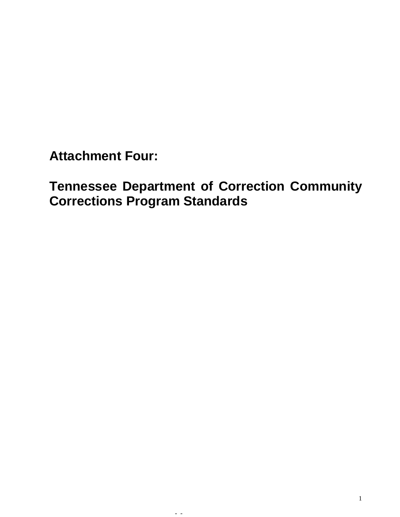**Attachment Four:** 

**Tennessee Department of Correction Community Corrections Program Standards**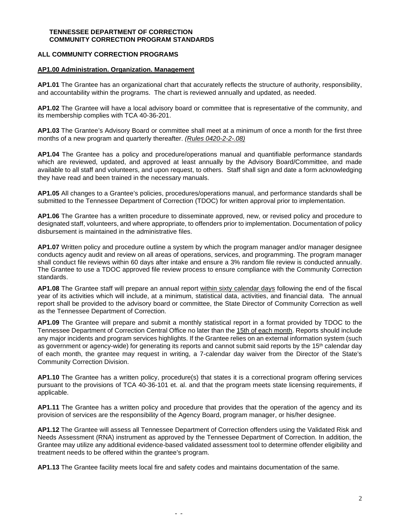### **TENNESSEE DEPARTMENT OF CORRECTION COMMUNITY CORRECTION PROGRAM STANDARDS**

# **ALL COMMUNITY CORRECTION PROGRAMS**

#### **AP1.00 Administration. Organization. Management**

**AP1.01** The Grantee has an organizational chart that accurately reflects the structure of authority, responsibility, and accountability within the programs. The chart is reviewed annually and updated, as needed.

**AP1.02** The Grantee will have a local advisory board or committee that is representative of the community, and its membership complies with TCA 40-36-201.

**AP1.03** The Grantee's Advisory Board or committee shall meet at a minimum of once a month for the first three months of a new program and quarterly thereafter. *(Rules 0420-2-2-.08)*

**AP1.04** The Grantee has a policy and procedure/operations manual and quantifiable performance standards which are reviewed, updated, and approved at least annually by the Advisory Board/Committee, and made available to all staff and volunteers, and upon request, to others. Staff shall sign and date a form acknowledging they have read and been trained in the necessary manuals.

**AP1.05** All changes to a Grantee's policies, procedures/operations manual, and performance standards shall be submitted to the Tennessee Department of Correction (TDOC) for written approval prior to implementation.

**AP1.06** The Grantee has a written procedure to disseminate approved, new, or revised policy and procedure to designated staff, volunteers, and where appropriate, to offenders prior to implementation. Documentation of policy disbursement is maintained in the administrative files.

**AP1.07** Written policy and procedure outline a system by which the program manager and/or manager designee conducts agency audit and review on all areas of operations, services, and programming. The program manager shall conduct file reviews within 60 days after intake and ensure a 3% random file review is conducted annually. The Grantee to use a TDOC approved file review process to ensure compliance with the Community Correction standards.

**AP1.08** The Grantee staff will prepare an annual report within sixty calendar days following the end of the fiscal year of its activities which will include, at a minimum, statistical data, activities, and financial data. The annual report shall be provided to the advisory board or committee, the State Director of Community Correction as well as the Tennessee Department of Correction.

**AP1.09** The Grantee will prepare and submit a monthly statistical report in a format provided by TDOC to the Tennessee Department of Correction Central Office no later than the 15th of each month. Reports should include any major incidents and program services highlights. If the Grantee relies on an external information system (such as government or agency-wide) for generating its reports and cannot submit said reports by the 15<sup>th</sup> calendar day of each month, the grantee may request in writing, a 7-calendar day waiver from the Director of the State's Community Correction Division.

**AP1.10** The Grantee has a written policy, procedure(s) that states it is a correctional program offering services pursuant to the provisions of TCA 40-36-101 et. al. and that the program meets state licensing requirements, if applicable.

**AP1.11** The Grantee has a written policy and procedure that provides that the operation of the agency and its provision of services are the responsibility of the Agency Board, program manager, or his/her designee.

**AP1.12** The Grantee will assess all Tennessee Department of Correction offenders using the Validated Risk and Needs Assessment (RNA) instrument as approved by the Tennessee Department of Correction. In addition, the Grantee may utilize any additional evidence-based validated assessment tool to determine offender eligibility and treatment needs to be offered within the grantee's program.

**AP1.13** The Grantee facility meets local fire and safety codes and maintains documentation of the same.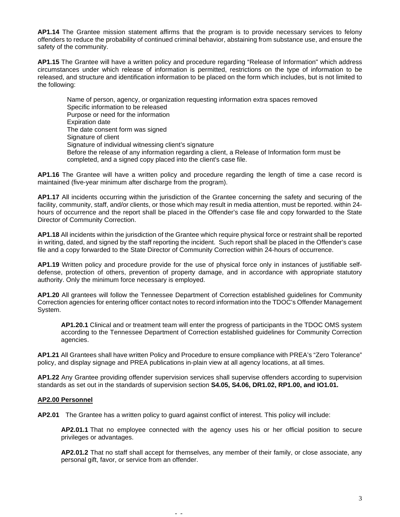**AP1.14** The Grantee mission statement affirms that the program is to provide necessary services to felony offenders to reduce the probability of continued criminal behavior, abstaining from substance use, and ensure the safety of the community.

**AP1.15** The Grantee will have a written policy and procedure regarding "Release of Information" which address circumstances under which release of information is permitted, restrictions on the type of information to be released, and structure and identification information to be placed on the form which includes, but is not limited to the following:

Name of person, agency, or organization requesting information extra spaces removed Specific information to be released Purpose or need for the information Expiration date The date consent form was signed Signature of client Signature of individual witnessing client's signature Before the release of any information regarding a client, a Release of Information form must be completed, and a signed copy placed into the client's case file.

**AP1.16** The Grantee will have a written policy and procedure regarding the length of time a case record is maintained (five-year minimum after discharge from the program).

**AP1.17** All incidents occurring within the jurisdiction of the Grantee concerning the safety and securing of the facility, community, staff, and/or clients, or those which may result in media attention, must be reported. within 24 hours of occurrence and the report shall be placed in the Offender's case file and copy forwarded to the State Director of Community Correction.

**AP1.18** All incidents within the jurisdiction of the Grantee which require physical force or restraint shall be reported in writing, dated, and signed by the staff reporting the incident. Such report shall be placed in the Offender's case file and a copy forwarded to the State Director of Community Correction within 24-hours of occurrence.

**AP1.19** Written policy and procedure provide for the use of physical force only in instances of justifiable selfdefense, protection of others, prevention of property damage, and in accordance with appropriate statutory authority. Only the minimum force necessary is employed.

**AP1.20** All grantees will follow the Tennessee Department of Correction established guidelines for Community Correction agencies for entering officer contact notes to record information into the TDOC's Offender Management System.

**AP1.20.1** Clinical and or treatment team will enter the progress of participants in the TDOC OMS system according to the Tennessee Department of Correction established guidelines for Community Correction agencies.

**AP1.21** All Grantees shall have written Policy and Procedure to ensure compliance with PREA's "Zero Tolerance" policy, and display signage and PREA publications in-plain view at all agency locations, at all times.

**AP1.22** Any Grantee providing offender supervision services shall supervise offenders according to supervision standards as set out in the standards of supervision section **S4.05, S4.06, DR1.02, RP1.00, and IO1.01.**

### **AP2.00 Personnel**

**AP2.01** The Grantee has a written policy to guard against conflict of interest. This policy will include:

- -

**AP2.01.1** That no employee connected with the agency uses his or her official position to secure privileges or advantages.

**AP2.01.2** That no staff shall accept for themselves, any member of their family, or close associate, any personal gift, favor, or service from an offender.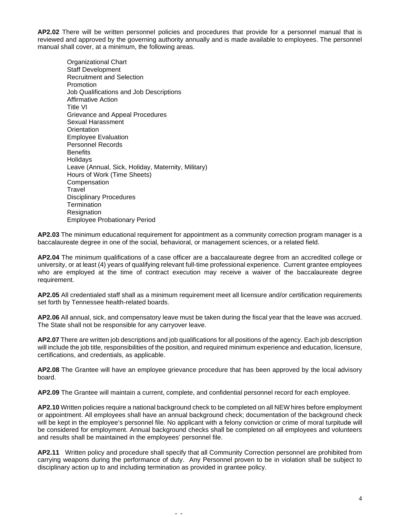**AP2.02** There will be written personnel policies and procedures that provide for a personnel manual that is reviewed and approved by the governing authority annually and is made available to employees. The personnel manual shall cover, at a minimum, the following areas.

Organizational Chart Staff Development Recruitment and Selection Promotion Job Qualifications and Job Descriptions Affirmative Action Title VI Grievance and Appeal Procedures Sexual Harassment **Orientation** Employee Evaluation Personnel Records **Benefits Holidavs** Leave (Annual, Sick, Holiday, Maternity, Military) Hours of Work (Time Sheets) Compensation **Travel** Disciplinary Procedures **Termination Resignation** Employee Probationary Period

**AP2.03** The minimum educational requirement for appointment as a community correction program manager is a baccalaureate degree in one of the social, behavioral, or management sciences, or a related field.

**AP2.04** The minimum qualifications of a case officer are a baccalaureate degree from an accredited college or university, or at least (4) years of qualifying relevant full-time professional experience. Current grantee employees who are employed at the time of contract execution may receive a waiver of the baccalaureate degree requirement.

**AP2.05** All credentialed staff shall as a minimum requirement meet all licensure and/or certification requirements set forth by Tennessee health-related boards.

**AP2.06** All annual, sick, and compensatory leave must be taken during the fiscal year that the leave was accrued. The State shall not be responsible for any carryover leave.

**AP2.07** There are written job descriptions and job qualifications for all positions of the agency. Each job description will include the job title, responsibilities of the position, and required minimum experience and education, licensure, certifications, and credentials, as applicable.

**AP2.08** The Grantee will have an employee grievance procedure that has been approved by the local advisory board.

**AP2.09** The Grantee will maintain a current, complete, and confidential personnel record for each employee.

**AP2.10** Written policies require a national background check to be completed on all NEW hires before employment or appointment. All employees shall have an annual background check; documentation of the background check will be kept in the employee's personnel file. No applicant with a felony conviction or crime of moral turpitude will be considered for employment. Annual background checks shall be completed on all employees and volunteers and results shall be maintained in the employees' personnel file.

**AP2.11** Written policy and procedure shall specify that all Community Correction personnel are prohibited from carrying weapons during the performance of duty. Any Personnel proven to be in violation shall be subject to disciplinary action up to and including termination as provided in grantee policy.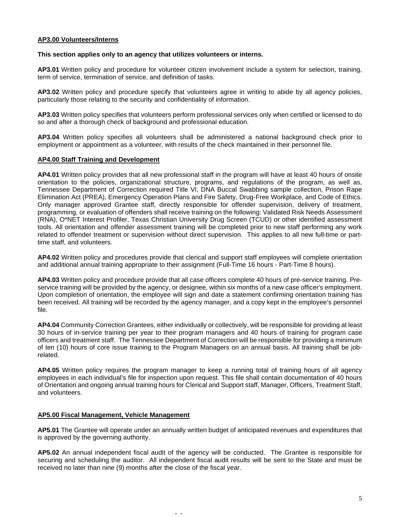### **AP3.00 Volunteers/Interns**

#### **This section applies only to an agency that utilizes volunteers or interns.**

**AP3.01** Written policy and procedure for volunteer citizen involvement include a system for selection, training, term of service, termination of service, and definition of tasks.

**AP3.02** Written policy and procedure specify that volunteers agree in writing to abide by all agency policies, particularly those relating to the security and confidentiality of information.

**AP3.03** Written policy specifies that volunteers perform professional services only when certified or licensed to do so and after a thorough check of background and professional education.

**AP3.04** Written policy specifies all volunteers shall be administered a national background check prior to employment or appointment as a volunteer, with results of the check maintained in their personnel file.

### **AP4.00 Staff Training and Development**

**AP4.01** Written policy provides that all new professional staff in the program will have at least 40 hours of onsite orientation to the policies, organizational structure, programs, and regulations of the program, as well as, Tennessee Department of Correction required Title VI, DNA Buccal Swabbing sample collection, Prison Rape Elimination Act (PREA), Emergency Operation Plans and Fire Safety, Drug-Free Workplace, and Code of Ethics. Only manager approved Grantee staff, directly responsible for offender supervision, delivery of treatment, programming, or evaluation of offenders shall receive training on the following: Validated Risk Needs Assessment (RNA), O\*NET Interest Profiler, Texas Christian University Drug Screen (TCUD) or other identified assessment tools. All orientation and offender assessment training will be completed prior to new staff performing any work related to offender treatment or supervision without direct supervision. This applies to all new full-time or parttime staff, and volunteers*.*

**AP4.02** Written policy and procedures provide that clerical and support staff employees will complete orientation and additional annual training appropriate to their assignment (Full-Time 16 hours - Part-Time 8 hours).

**AP4.03** Written policy and procedure provide that all case officers complete 40 hours of pre-service training. Preservice training will be provided by the agency, or designee, within six months of a new case officer's employment. Upon completion of orientation, the employee will sign and date a statement confirming orientation training has been received. All training will be recorded by the agency manager, and a copy kept in the employee's personnel file.

**AP4.04** Community Correction Grantees, either individually or collectively, will be responsible for providing at least 30 hours of in‑service training per year to their program managers and 40 hours of training for program case officers and treatment staff. The Tennessee Department of Correction will be responsible for providing a minimum of ten (10) hours of core issue training to the Program Managers on an annual basis. All training shall be jobrelated.

**AP4.05** Written policy requires the program manager to keep a running total of training hours of all agency employees in each individual's file for inspection upon request. This file shall contain documentation of 40 hours of Orientation and ongoing annual training hours for Clerical and Support staff, Manager, Officers, Treatment Staff, and volunteers.

### **AP5.00 Fiscal Management, Vehicle Management**

**AP5.01** The Grantee will operate under an annually written budget of anticipated revenues and expenditures that is approved by the governing authority.

**AP5.02** An annual independent fiscal audit of the agency will be conducted. The Grantee is responsible for securing and scheduling the auditor. All independent fiscal audit results will be sent to the State and must be received no later than nine (9) months after the close of the fiscal year.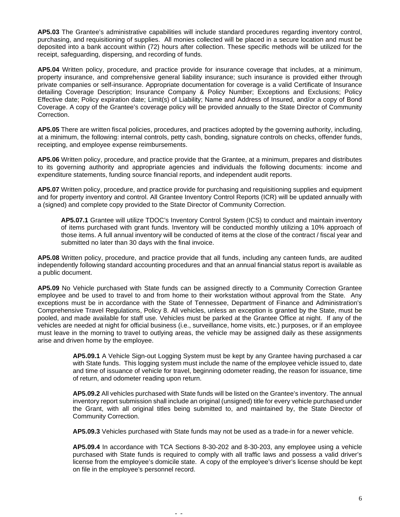**AP5.03** The Grantee's administrative capabilities will include standard procedures regarding inventory control, purchasing, and requisitioning of supplies. All monies collected will be placed in a secure location and must be deposited into a bank account within (72) hours after collection. These specific methods will be utilized for the receipt, safeguarding, dispersing, and recording of funds.

**AP5.04** Written policy, procedure, and practice provide for insurance coverage that includes, at a minimum, property insurance, and comprehensive general liability insurance; such insurance is provided either through private companies or self-insurance. Appropriate documentation for coverage is a valid Certificate of Insurance detailing Coverage Description; Insurance Company & Policy Number; Exceptions and Exclusions; Policy Effective date; Policy expiration date; Limit(s) of Liability; Name and Address of Insured, and/or a copy of Bond Coverage. A copy of the Grantee's coverage policy will be provided annually to the State Director of Community Correction.

**AP5.05** There are written fiscal policies, procedures, and practices adopted by the governing authority, including, at a minimum, the following: internal controls, petty cash, bonding, signature controls on checks, offender funds, receipting, and employee expense reimbursements.

**AP5.06** Written policy, procedure, and practice provide that the Grantee, at a minimum, prepares and distributes to its governing authority and appropriate agencies and individuals the following documents: income and expenditure statements, funding source financial reports, and independent audit reports.

**AP5.07** Written policy, procedure, and practice provide for purchasing and requisitioning supplies and equipment and for property inventory and control. All Grantee Inventory Control Reports (ICR) will be updated annually with a (signed) and complete copy provided to the State Director of Community Correction.

**AP5.07.1** Grantee will utilize TDOC's Inventory Control System (ICS) to conduct and maintain inventory of items purchased with grant funds. Inventory will be conducted monthly utilizing a 10% approach of those items. A full annual inventory will be conducted of items at the close of the contract / fiscal year and submitted no later than 30 days with the final invoice.

**AP5.08** Written policy, procedure, and practice provide that all funds, including any canteen funds, are audited independently following standard accounting procedures and that an annual financial status report is available as a public document.

**AP5.09** No Vehicle purchased with State funds can be assigned directly to a Community Correction Grantee employee and be used to travel to and from home to their workstation without approval from the State. Any exceptions must be in accordance with the State of Tennessee, Department of Finance and Administration's Comprehensive Travel Regulations, Policy 8. All vehicles, unless an exception is granted by the State, must be pooled, and made available for staff use. Vehicles must be parked at the Grantee Office at night. If any of the vehicles are needed at night for official business (i.e., surveillance, home visits, etc.) purposes, or if an employee must leave in the morning to travel to outlying areas, the vehicle may be assigned daily as these assignments arise and driven home by the employee.

> **AP5.09.1** A Vehicle Sign-out Logging System must be kept by any Grantee having purchased a car with State funds. This logging system must include the name of the employee vehicle issued to, date and time of issuance of vehicle for travel, beginning odometer reading, the reason for issuance, time of return, and odometer reading upon return.

> **AP5.09.2** All vehicles purchased with State funds will be listed on the Grantee's inventory. The annual inventory report submission shall include an original (unsigned) title for every vehicle purchased under the Grant, with all original titles being submitted to, and maintained by, the State Director of Community Correction.

**AP5.09.3** Vehicles purchased with State funds may not be used as a trade-in for a newer vehicle.

**AP5.09.4** In accordance with TCA Sections 8-30-202 and 8-30-203, any employee using a vehicle purchased with State funds is required to comply with all traffic laws and possess a valid driver's license from the employee's domicile state. A copy of the employee's driver's license should be kept on file in the employee's personnel record.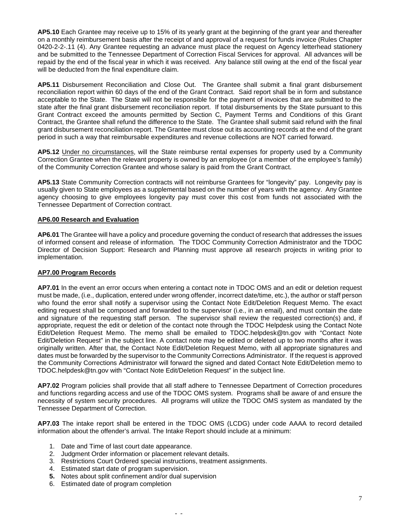**AP5.10** Each Grantee may receive up to 15% of its yearly grant at the beginning of the grant year and thereafter on a monthly reimbursement basis after the receipt of and approval of a request for funds invoice (Rules Chapter 0420-2-2-.11 (4). Any Grantee requesting an advance must place the request on Agency letterhead stationery and be submitted to the Tennessee Department of Correction Fiscal Services for approval. All advances will be repaid by the end of the fiscal year in which it was received. Any balance still owing at the end of the fiscal year will be deducted from the final expenditure claim.

**AP5.11** Disbursement Reconciliation and Close Out. The Grantee shall submit a final grant disbursement reconciliation report within 60 days of the end of the Grant Contract. Said report shall be in form and substance acceptable to the State. The State will not be responsible for the payment of invoices that are submitted to the state after the final grant disbursement reconciliation report. If total disbursements by the State pursuant to this Grant Contract exceed the amounts permitted by Section C, Payment Terms and Conditions of this Grant Contract, the Grantee shall refund the difference to the State. The Grantee shall submit said refund with the final grant disbursement reconciliation report. The Grantee must close out its accounting records at the end of the grant period in such a way that reimbursable expenditures and revenue collections are NOT carried forward.

**AP5.12** Under no circumstances, will the State reimburse rental expenses for property used by a Community Correction Grantee when the relevant property is owned by an employee (or a member of the employee's family) of the Community Correction Grantee and whose salary is paid from the Grant Contract.

**AP5.13** State Community Correction contracts will not reimburse Grantees for "longevity" pay. Longevity pay is usually given to State employees as a supplemental based on the number of years with the agency. Any Grantee agency choosing to give employees longevity pay must cover this cost from funds not associated with the Tennessee Department of Correction contract.

### **AP6.00 Research and Evaluation**

**AP6.01** The Grantee will have a policy and procedure governing the conduct of research that addresses the issues of informed consent and release of information. The TDOC Community Correction Administrator and the TDOC Director of Decision Support: Research and Planning must approve all research projects in writing prior to implementation.

### **AP7.00 Program Records**

**AP7.01** In the event an error occurs when entering a contact note in TDOC OMS and an edit or deletion request must be made, (i.e., duplication, entered under wrong offender, incorrect date/time, etc.), the author or staff person who found the error shall notify a supervisor using the Contact Note Edit/Deletion Request Memo. The exact editing request shall be composed and forwarded to the supervisor (i.e., in an email), and must contain the date and signature of the requesting staff person. The supervisor shall review the requested correction(s) and, if appropriate, request the edit or deletion of the contact note through the TDOC Helpdesk using the Contact Note Edit/Deletion Request Memo. The memo shall be emailed to [TDOC.helpdesk@tn.gov](mailto:TDOC.helpdesk@tn.gov) with "Contact Note Edit/Deletion Request" in the subject line. A contact note may be edited or deleted up to two months after it was originally written. After that, the Contact Note Edit/Deletion Request Memo, with all appropriate signatures and dates must be forwarded by the supervisor to the Community Corrections Administrator. If the request is approved the Community Corrections Administrator will forward the signed and dated Contact Note Edit/Deletion memo to [TDOC.helpdesk@tn.gov](mailto:TDOC.helpdesk@tn.gov) with "Contact Note Edit/Deletion Request" in the subject line.

**AP7.02** Program policies shall provide that all staff adhere to Tennessee Department of Correction procedures and functions regarding access and use of the TDOC OMS system. Programs shall be aware of and ensure the necessity of system security procedures. All programs will utilize the TDOC OMS system as mandated by the Tennessee Department of Correction.

**AP7.03** The intake report shall be entered in the TDOC OMS (LCDG) under code AAAA to record detailed information about the offender's arrival. The Intake Report should include at a minimum:

- 1. Date and Time of last court date appearance.
- 2. Judgment Order information or placement relevant details.
- 3. Restrictions Court Ordered special instructions, treatment assignments.

- 4. Estimated start date of program supervision.
- **5.** Notes about split confinement and/or dual supervision
- 6. Estimated date of program completion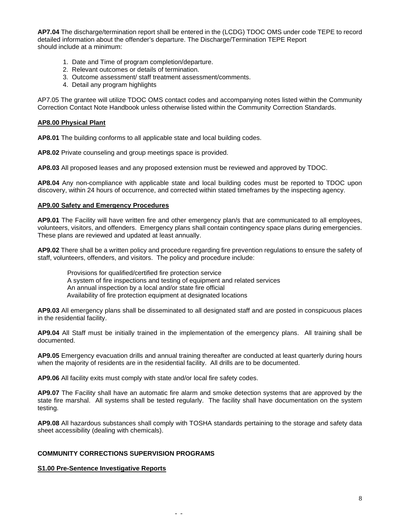**AP7.04** The discharge/termination report shall be entered in the (LCDG) TDOC OMS under code TEPE to record detailed information about the offender's departure. The Discharge/Termination TEPE Report should include at a minimum:

- 1. Date and Time of program completion/departure.
- 2. Relevant outcomes or details of termination.
- 3. Outcome assessment/ staff treatment assessment/comments.
- 4. Detail any program highlights

AP7.05 The grantee will utilize TDOC OMS contact codes and accompanying notes listed within the Community Correction Contact Note Handbook unless otherwise listed within the Community Correction Standards.

#### **AP8.00 Physical Plant**

**AP8.01** The building conforms to all applicable state and local building codes.

**AP8.02** Private counseling and group meetings space is provided.

**AP8.03** All proposed leases and any proposed extension must be reviewed and approved by TDOC.

**AP8.04** Any non-compliance with applicable state and local building codes must be reported to TDOC upon discovery, within 24 hours of occurrence, and corrected within stated timeframes by the inspecting agency.

#### **AP9.00 Safety and Emergency Procedures**

**AP9.01** The Facility will have written fire and other emergency plan/s that are communicated to all employees, volunteers, visitors, and offenders. Emergency plans shall contain contingency space plans during emergencies. These plans are reviewed and updated at least annually.

**AP9.02** There shall be a written policy and procedure regarding fire prevention regulations to ensure the safety of staff, volunteers, offenders, and visitors. The policy and procedure include:

Provisions for qualified/certified fire protection service A system of fire inspections and testing of equipment and related services An annual inspection by a local and/or state fire official Availability of fire protection equipment at designated locations

**AP9.03** All emergency plans shall be disseminated to all designated staff and are posted in conspicuous places in the residential facility.

**AP9.04** All Staff must be initially trained in the implementation of the emergency plans. All training shall be documented.

**AP9.05** Emergency evacuation drills and annual training thereafter are conducted at least quarterly during hours when the majority of residents are in the residential facility. All drills are to be documented.

**AP9.06** All facility exits must comply with state and/or local fire safety codes.

**AP9.07** The Facility shall have an automatic fire alarm and smoke detection systems that are approved by the state fire marshal. All systems shall be tested regularly. The facility shall have documentation on the system testing.

**AP9.08** All hazardous substances shall comply with TOSHA standards pertaining to the storage and safety data sheet accessibility (dealing with chemicals).

- -

### **COMMUNITY CORRECTIONS SUPERVISION PROGRAMS**

### **S1.00 Pre-Sentence Investigative Reports**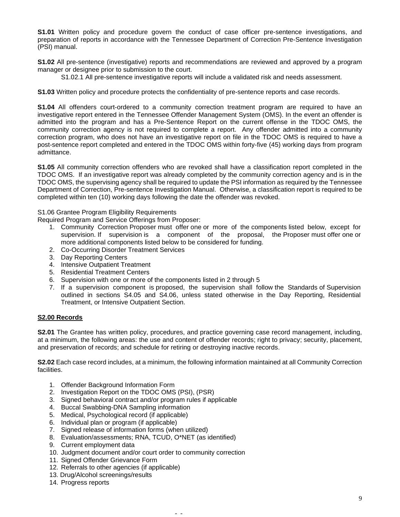**S1.01** Written policy and procedure govern the conduct of case officer pre-sentence investigations, and preparation of reports in accordance with the Tennessee Department of Correction Pre-Sentence Investigation (PSI) manual.

**S1.02** All pre-sentence (investigative) reports and recommendations are reviewed and approved by a program manager or designee prior to submission to the court.

S1.02.1 All pre-sentence investigative reports will include a validated risk and needs assessment.

**S1.03** Written policy and procedure protects the confidentiality of pre-sentence reports and case records.

**S1.04** All offenders court-ordered to a community correction treatment program are required to have an investigative report entered in the Tennessee Offender Management System (OMS). In the event an offender is admitted into the program and has a Pre-Sentence Report on the current offense in the TDOC OMS, the community correction agency is not required to complete a report. Any offender admitted into a community correction program, who does not have an investigative report on file in the TDOC OMS is required to have a post-sentence report completed and entered in the TDOC OMS within forty-five (45) working days from program admittance.

**S1.05** All community correction offenders who are revoked shall have a classification report completed in the TDOC OMS. If an investigative report was already completed by the community correction agency and is in the TDOC OMS, the supervising agency shall be required to update the PSI information as required by the Tennessee Department of Correction, Pre-sentence Investigation Manual. Otherwise, a classification report is required to be completed within ten (10) working days following the date the offender was revoked.

### S1.06 Grantee Program Eligibility Requirements

Required Program and Service Offerings from Proposer:

- 1. Community Correction Proposer must offer one or more of the components listed below, except for supervision. If supervision is a component of the proposal, the Proposer must offer one or more additional components listed below to be considered for funding.
- 2. Co-Occurring Disorder Treatment Services
- 3. Day Reporting Centers
- 4. Intensive Outpatient Treatment
- 5. Residential Treatment Centers
- 6. Supervision with one or more of the components listed in 2 through 5
- 7. If a supervision component is proposed, the supervision shall follow the Standards of Supervision outlined in sections S4.05 and S4.06, unless stated otherwise in the Day Reporting, Residential Treatment, or Intensive Outpatient Section.

# **S2.00 Records**

**S2.01** The Grantee has written policy, procedures, and practice governing case record management, including, at a minimum, the following areas: the use and content of offender records; right to privacy; security, placement, and preservation of records; and schedule for retiring or destroying inactive records.

**S2.02** Each case record includes, at a minimum, the following information maintained at all Community Correction facilities.

- 1. Offender Background Information Form
- 2. Investigation Report on the TDOC OMS (PSI), (PSR)
- 3. Signed behavioral contract and/or program rules if applicable
- 4. Buccal Swabbing-DNA Sampling information
- 5. Medical, Psychological record (if applicable)
- 6. Individual plan or program (if applicable)
- 7. Signed release of information forms (when utilized)
- 8. Evaluation/assessments; RNA, TCUD, O\*NET (as identified)
- 9. Current employment data
- 10. Judgment document and/or court order to community correction

- 11. Signed Offender Grievance Form
- 12. Referrals to other agencies (if applicable)
- 13. Drug/Alcohol screenings/results
- 14. Progress reports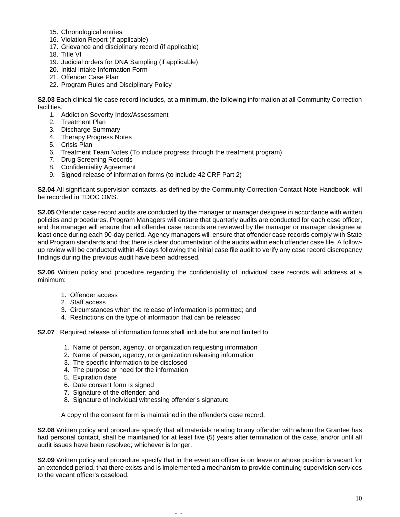- 15. Chronological entries
- 16. Violation Report (if applicable)
- 17. Grievance and disciplinary record (if applicable)
- 18. Title VI
- 19. Judicial orders for DNA Sampling (if applicable)
- 20. Initial Intake Information Form
- 21. Offender Case Plan
- 22. Program Rules and Disciplinary Policy

**S2.03** Each clinical file case record includes, at a minimum, the following information at all Community Correction facilities.

- 1. Addiction Severity Index/Assessment
- 2. Treatment Plan
- 3. Discharge Summary
- 4. Therapy Progress Notes
- 5. Crisis Plan
- 6. Treatment Team Notes (To include progress through the treatment program)
- 7. Drug Screening Records
- 8. Confidentiality Agreement
- 9. Signed release of information forms (to include 42 CRF Part 2)

**S2.04** All significant supervision contacts, as defined by the Community Correction Contact Note Handbook, will be recorded in TDOC OMS.

**S2.05** Offender case record audits are conducted by the manager or manager designee in accordance with written policies and procedures. Program Managers will ensure that quarterly audits are conducted for each case officer, and the manager will ensure that all offender case records are reviewed by the manager or manager designee at least once during each 90-day period. Agency managers will ensure that offender case records comply with State and Program standards and that there is clear documentation of the audits within each offender case file. A followup review will be conducted within 45 days following the initial case file audit to verify any case record discrepancy findings during the previous audit have been addressed.

**S2.06** Written policy and procedure regarding the confidentiality of individual case records will address at a minimum:

- 1. Offender access
- 2. Staff access
- 3. Circumstances when the release of information is permitted; and
- 4. Restrictions on the type of information that can be released

**S2.07** Required release of information forms shall include but are not limited to:

- 1. Name of person, agency, or organization requesting information
- 2. Name of person, agency, or organization releasing information
- 3. The specific information to be disclosed
- 4. The purpose or need for the information
- 5. Expiration date
- 6. Date consent form is signed
- 7. Signature of the offender; and
- 8. Signature of individual witnessing offender's signature

A copy of the consent form is maintained in the offender's case record.

**S2.08** Written policy and procedure specify that all materials relating to any offender with whom the Grantee has had personal contact, shall be maintained for at least five (5) years after termination of the case, and/or until all audit issues have been resolved; whichever is longer.

**S2.09** Written policy and procedure specify that in the event an officer is on leave or whose position is vacant for an extended period, that there exists and is implemented a mechanism to provide continuing supervision services to the vacant officer's caseload.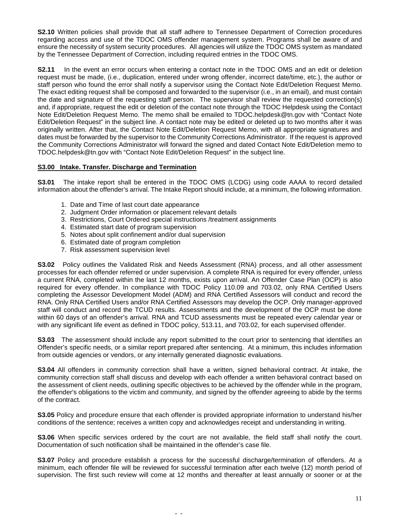**S2.10** Written policies shall provide that all staff adhere to Tennessee Department of Correction procedures regarding access and use of the TDOC OMS offender management system. Programs shall be aware of and ensure the necessity of system security procedures. All agencies will utilize the TDOC OMS system as mandated by the Tennessee Department of Correction, including required entries in the TDOC OMS.

**S2.11** In the event an error occurs when entering a contact note in the TDOC OMS and an edit or deletion request must be made, (i.e., duplication, entered under wrong offender, incorrect date/time, etc.), the author or staff person who found the error shall notify a supervisor using the Contact Note Edit/Deletion Request Memo. The exact editing request shall be composed and forwarded to the supervisor (i.e., in an email), and must contain the date and signature of the requesting staff person. The supervisor shall review the requested correction(s) and, if appropriate, request the edit or deletion of the contact note through the TDOC Helpdesk using the Contact Note Edit/Deletion Request Memo. The memo shall be emailed to [TDOC.helpdesk@tn.gov](mailto:TDOC.helpdesk@tn.gov) with "Contact Note Edit/Deletion Request" in the subject line. A contact note may be edited or deleted up to two months after it was originally written. After that, the Contact Note Edit/Deletion Request Memo, with all appropriate signatures and dates must be forwarded by the supervisor to the Community Corrections Administrator. If the request is approved the Community Corrections Administrator will forward the signed and dated Contact Note Edit/Deletion memo to [TDOC.helpdesk@tn.gov](mailto:TDOC.helpdesk@tn.gov) with "Contact Note Edit/Deletion Request" in the subject line.

# **S3.00 Intake. Transfer. Discharge and Termination**

**S3.01** The intake report shall be entered in the TDOC OMS (LCDG) using code AAAA to record detailed information about the offender's arrival. The Intake Report should include, at a minimum, the following information.

- 1. Date and Time of last court date appearance
- 2. Judgment Order information or placement relevant details
- 3. Restrictions, Court Ordered special instructions /treatment assignments
- 4. Estimated start date of program supervision
- 5. Notes about split confinement and/or dual supervision
- 6. Estimated date of program completion
- 7. Risk assessment supervision level

**S3.02** Policy outlines the Validated Risk and Needs Assessment (RNA) process, and all other assessment processes for each offender referred or under supervision. A complete RNA is required for every offender, unless a current RNA, completed within the last 12 months, exists upon arrival. An Offender Case Plan (OCP) is also required for every offender. In compliance with TDOC Policy 110.09 and 703.02, only RNA Certified Users completing the Assessor Development Model (ADM) and RNA Certified Assessors will conduct and record the RNA. Only RNA Certified Users and/or RNA Certified Assessors may develop the OCP. Only manager-approved staff will conduct and record the TCUD results. Assessments and the development of the OCP must be done within 60 days of an offender's arrival. RNA and TCUD assessments must be repeated every calendar year or with any significant life event as defined in TDOC policy, 513.11, and 703.02, for each supervised offender.

**S3.03** The assessment should include any report submitted to the court prior to sentencing that identifies an Offender's specific needs, or a similar report prepared after sentencing. At a minimum, this includes information from outside agencies or vendors, or any internally generated diagnostic evaluations.

**S3.04** All offenders in community correction shall have a written, signed behavioral contract. At intake, the community correction staff shall discuss and develop with each offender a written behavioral contract based on the assessment of client needs, outlining specific objectives to be achieved by the offender while in the program, the offender's obligations to the victim and community, and signed by the offender agreeing to abide by the terms of the contract.

**S3.05** Policy and procedure ensure that each offender is provided appropriate information to understand his/her conditions of the sentence; receives a written copy and acknowledges receipt and understanding in writing.

**S3.06** When specific services ordered by the court are not available, the field staff shall notify the court. Documentation of such notification shall be maintained in the offender's case file.

**S3.07** Policy and procedure establish a process for the successful discharge/termination of offenders. At a minimum, each offender file will be reviewed for successful termination after each twelve (12) month period of supervision. The first such review will come at 12 months and thereafter at least annually or sooner or at the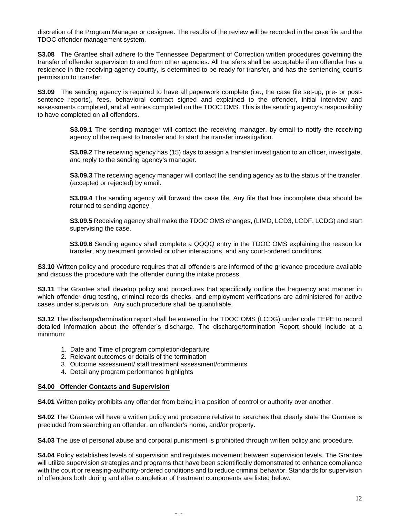discretion of the Program Manager or designee. The results of the review will be recorded in the case file and the TDOC offender management system.

**S3.08** The Grantee shall adhere to the Tennessee Department of Correction written procedures governing the transfer of offender supervision to and from other agencies. All transfers shall be acceptable if an offender has a residence in the receiving agency county, is determined to be ready for transfer, and has the sentencing court's permission to transfer.

**S3.09** The sending agency is required to have all paperwork complete (i.e., the case file set-up, pre- or postsentence reports), fees, behavioral contract signed and explained to the offender, initial interview and assessments completed, and all entries completed on the TDOC OMS. This is the sending agency's responsibility to have completed on all offenders.

**S3.09.1** The sending manager will contact the receiving manager, by email to notify the receiving agency of the request to transfer and to start the transfer investigation.

**S3.09.2** The receiving agency has (15) days to assign a transfer investigation to an officer, investigate, and reply to the sending agency's manager.

**S3.09.3** The receiving agency manager will contact the sending agency as to the status of the transfer, (accepted or rejected) by email.

**S3.09.4** The sending agency will forward the case file. Any file that has incomplete data should be returned to sending agency.

**S3.09.5** Receiving agency shall make the TDOC OMS changes, (LIMD, LCD3, LCDF, LCDG) and start supervising the case.

**S3.09.6** Sending agency shall complete a QQQQ entry in the TDOC OMS explaining the reason for transfer, any treatment provided or other interactions, and any court-ordered conditions.

**S3.10** Written policy and procedure requires that all offenders are informed of the grievance procedure available and discuss the procedure with the offender during the intake process.

**S3.11** The Grantee shall develop policy and procedures that specifically outline the frequency and manner in which offender drug testing, criminal records checks, and employment verifications are administered for active cases under supervision. Any such procedure shall be quantifiable.

**S3.12** The discharge/termination report shall be entered in the TDOC OMS (LCDG) under code TEPE to record detailed information about the offender's discharge. The discharge/termination Report should include at a minimum:

- 1. Date and Time of program completion/departure
- 2. Relevant outcomes or details of the termination
- 3. Outcome assessment/ staff treatment assessment/comments
- 4. Detail any program performance highlights

#### **S4.00 Offender Contacts and Supervision**

**S4.01** Written policy prohibits any offender from being in a position of control or authority over another.

- -

**S4.02** The Grantee will have a written policy and procedure relative to searches that clearly state the Grantee is precluded from searching an offender, an offender's home, and/or property.

**S4.03** The use of personal abuse and corporal punishment is prohibited through written policy and procedure.

**S4.04** Policy establishes levels of supervision and regulates movement between supervision levels. The Grantee will utilize supervision strategies and programs that have been scientifically demonstrated to enhance compliance with the court or releasing-authority-ordered conditions and to reduce criminal behavior. Standards for supervision of offenders both during and after completion of treatment components are listed below.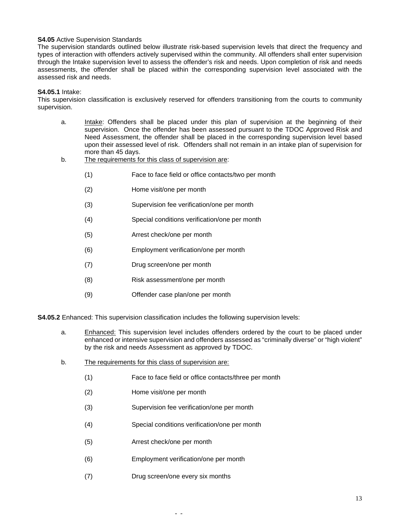### **S4.05** Active Supervision Standards

The supervision standards outlined below illustrate risk-based supervision levels that direct the frequency and types of interaction with offenders actively supervised within the community. All offenders shall enter supervision through the Intake supervision level to assess the offender's risk and needs. Upon completion of risk and needs assessments, the offender shall be placed within the corresponding supervision level associated with the assessed risk and needs.

### **S4.05.1** Intake:

This supervision classification is exclusively reserved for offenders transitioning from the courts to community supervision.

- a. Intake: Offenders shall be placed under this plan of supervision at the beginning of their supervision. Once the offender has been assessed pursuant to the TDOC Approved Risk and Need Assessment, the offender shall be placed in the corresponding supervision level based upon their assessed level of risk. Offenders shall not remain in an intake plan of supervision for more than 45 days.
- b. The requirements for this class of supervision are:
	- (1) Face to face field or office contacts/two per month
	- (2) Home visit/one per month
	- (3) Supervision fee verification/one per month
	- (4) Special conditions verification/one per month
	- (5) Arrest check/one per month
	- (6) Employment verification/one per month
	- (7) Drug screen/one per month
	- (8) Risk assessment/one per month
	- (9) Offender case plan/one per month

**S4.05.2** Enhanced: This supervision classification includes the following supervision levels:

- a. Enhanced: This supervision level includes offenders ordered by the court to be placed under enhanced or intensive supervision and offenders assessed as "criminally diverse" or "high violent" by the risk and needs Assessment as approved by TDOC.
- b. The requirements for this class of supervision are:
	- (1) Face to face field or office contacts/three per month
	- (2) Home visit/one per month
	- (3) Supervision fee verification/one per month
	- (4) Special conditions verification/one per month

- (5) Arrest check/one per month
- (6) Employment verification/one per month
- (7) Drug screen/one every six months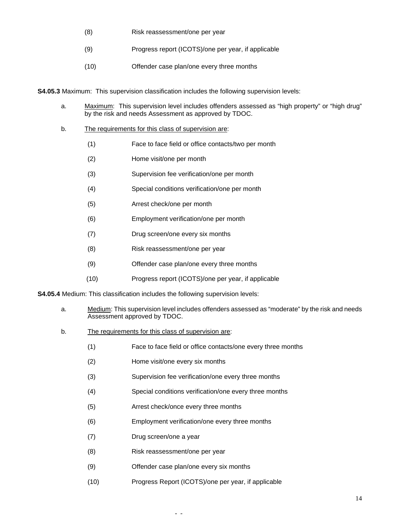- (8) Risk reassessment/one per year
- (9) Progress report (ICOTS)/one per year, if applicable
- (10) Offender case plan/one every three months

**S4.05.3** Maximum: This supervision classification includes the following supervision levels:

- a. Maximum: This supervision level includes offenders assessed as "high property" or "high drug" by the risk and needs Assessment as approved by TDOC.
- b. The requirements for this class of supervision are:
	- (1) Face to face field or office contacts/two per month
	- (2) Home visit/one per month
	- (3) Supervision fee verification/one per month
	- (4) Special conditions verification/one per month
	- (5) Arrest check/one per month
	- (6) Employment verification/one per month
	- (7) Drug screen/one every six months
	- (8) Risk reassessment/one per year
	- (9) Offender case plan/one every three months
	- (10) Progress report (ICOTS)/one per year, if applicable

**S4.05.4** Medium: This classification includes the following supervision levels:

- a. Medium: This supervision level includes offenders assessed as "moderate" by the risk and needs Assessment approved by TDOC.
- b. The requirements for this class of supervision are:
	- (1) Face to face field or office contacts/one every three months
	- (2) Home visit/one every six months
	- (3) Supervision fee verification/one every three months
	- (4) Special conditions verification/one every three months
	- (5) Arrest check/once every three months
	- (6) Employment verification/one every three months
	- (7) Drug screen/one a year
	- (8) Risk reassessment/one per year
	- (9) Offender case plan/one every six months
	- (10) Progress Report (ICOTS)/one per year, if applicable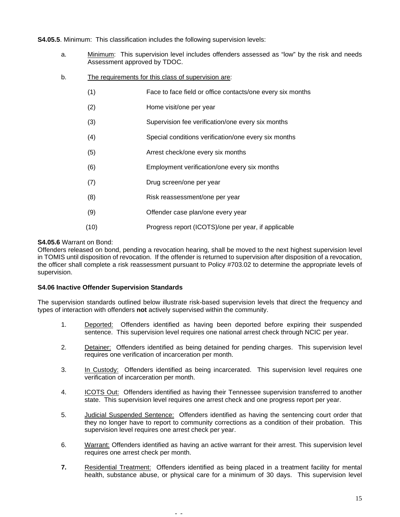**S4.05.5**. Minimum: This classification includes the following supervision levels:

- a. Minimum: This supervision level includes offenders assessed as "low" by the risk and needs Assessment approved by TDOC.
- b. The requirements for this class of supervision are:
	- (1) Face to face field or office contacts/one every six months
	- (2) Home visit/one per year
	- (3) Supervision fee verification/one every six months
	- (4) Special conditions verification/one every six months
	- (5) Arrest check/one every six months
	- (6) Employment verification/one every six months
	- (7) Drug screen/one per year
	- (8) Risk reassessment/one per year
	- (9) Offender case plan/one every year
	- (10) Progress report (ICOTS)/one per year, if applicable

### **S4.05.6** Warrant on Bond:

Offenders released on bond, pending a revocation hearing, shall be moved to the next highest supervision level in TOMIS until disposition of revocation. If the offender is returned to supervision after disposition of a revocation, the officer shall complete a risk reassessment pursuant to Policy #703.02 to determine the appropriate levels of supervision.

### **S4.06 Inactive Offender Supervision Standards**

The supervision standards outlined below illustrate risk-based supervision levels that direct the frequency and types of interaction with offenders **not** actively supervised within the community.

- 1. Deported: Offenders identified as having been deported before expiring their suspended sentence. This supervision level requires one national arrest check through NCIC per year.
- 2. Detainer: Offenders identified as being detained for pending charges. This supervision level requires one verification of incarceration per month.
- 3. In Custody: Offenders identified as being incarcerated. This supervision level requires one verification of incarceration per month.
- 4. ICOTS Out: Offenders identified as having their Tennessee supervision transferred to another state. This supervision level requires one arrest check and one progress report per year.
- 5. Judicial Suspended Sentence: Offenders identified as having the sentencing court order that they no longer have to report to community corrections as a condition of their probation. This supervision level requires one arrest check per year.
- 6. Warrant: Offenders identified as having an active warrant for their arrest. This supervision level requires one arrest check per month.
- **7.** Residential Treatment: Offenders identified as being placed in a treatment facility for mental health, substance abuse, or physical care for a minimum of 30 days. This supervision level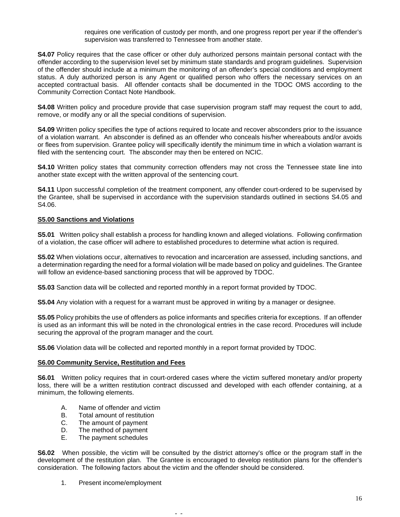requires one verification of custody per month, and one progress report per year if the offender's supervision was transferred to Tennessee from another state.

**S4.07** Policy requires that the case officer or other duly authorized persons maintain personal contact with the offender according to the supervision level set by minimum state standards and program guidelines. Supervision of the offender should include at a minimum the monitoring of an offender's special conditions and employment status. A duly authorized person is any Agent or qualified person who offers the necessary services on an accepted contractual basis. All offender contacts shall be documented in the TDOC OMS according to the Community Correction Contact Note Handbook.

**S4.08** Written policy and procedure provide that case supervision program staff may request the court to add, remove, or modify any or all the special conditions of supervision.

**S4.09** Written policy specifies the type of actions required to locate and recover absconders prior to the issuance of a violation warrant. An absconder is defined as an offender who conceals his/her whereabouts and/or avoids or flees from supervision. Grantee policy will specifically identify the minimum time in which a violation warrant is filed with the sentencing court. The absconder may then be entered on NCIC.

**S4.10** Written policy states that community correction offenders may not cross the Tennessee state line into another state except with the written approval of the sentencing court.

**S4.11** Upon successful completion of the treatment component, any offender court-ordered to be supervised by the Grantee, shall be supervised in accordance with the supervision standards outlined in sections S4.05 and S4.06.

### **S5.00 Sanctions and Violations**

**S5.01** Written policy shall establish a process for handling known and alleged violations. Following confirmation of a violation, the case officer will adhere to established procedures to determine what action is required.

**S5.02** When violations occur, alternatives to revocation and incarceration are assessed, including sanctions, and a determination regarding the need for a formal violation will be made based on policy and guidelines. The Grantee will follow an evidence-based sanctioning process that will be approved by TDOC.

**S5.03** Sanction data will be collected and reported monthly in a report format provided by TDOC.

**S5.04** Any violation with a request for a warrant must be approved in writing by a manager or designee.

**S5.05** Policy prohibits the use of offenders as police informants and specifies criteria for exceptions. If an offender is used as an informant this will be noted in the chronological entries in the case record. Procedures will include securing the approval of the program manager and the court.

**S5.06** Violation data will be collected and reported monthly in a report format provided by TDOC.

### **S6.00 Community Service, Restitution and Fees**

**S6.01** Written policy requires that in court-ordered cases where the victim suffered monetary and/or property loss, there will be a written restitution contract discussed and developed with each offender containing, at a minimum, the following elements.

- A. Name of offender and victim
- B. Total amount of restitution
- C. The amount of payment<br>D. The method of payment
- D. The method of payment<br>E. The payment schedules
- The payment schedules

**S6.02** When possible, the victim will be consulted by the district attorney's office or the program staff in the development of the restitution plan. The Grantee is encouraged to develop restitution plans for the offender's consideration. The following factors about the victim and the offender should be considered.

- -

1. Present income/employment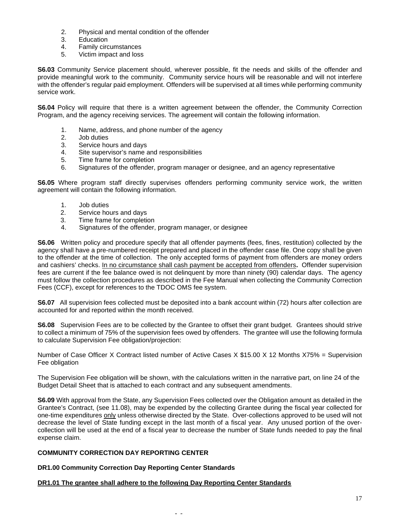- 2. Physical and mental condition of the offender
- **Education**
- 4. Family circumstances
- 5. Victim impact and loss

**S6.03** Community Service placement should, wherever possible, fit the needs and skills of the offender and provide meaningful work to the community. Community service hours will be reasonable and will not interfere with the offender's regular paid employment. Offenders will be supervised at all times while performing community service work.

**S6.04** Policy will require that there is a written agreement between the offender, the Community Correction Program, and the agency receiving services. The agreement will contain the following information.

- 1. Name, address, and phone number of the agency
- 2. Job duties
- 3. Service hours and days
- 4. Site supervisor's name and responsibilities
- 5. Time frame for completion
- 6. Signatures of the offender, program manager or designee, and an agency representative

**S6.05** Where program staff directly supervises offenders performing community service work, the written agreement will contain the following information.

- 1. Job duties
- 2. Service hours and days
- 3. Time frame for completion
- 4. Signatures of the offender, program manager, or designee

**S6.06** Written policy and procedure specify that all offender payments (fees, fines, restitution) collected by the agency shall have a pre-numbered receipt prepared and placed in the offender case file. One copy shall be given to the offender at the time of collection. The only accepted forms of payment from offenders are money orders and cashiers' checks. In no circumstance shall cash payment be accepted from offenders**.** Offender supervision fees are current if the fee balance owed is not delinquent by more than ninety (90) calendar days. The agency must follow the collection procedures as described in the Fee Manual when collecting the Community Correction Fees (CCF), except for references to the TDOC OMS fee system.

**S6.07** All supervision fees collected must be deposited into a bank account within (72) hours after collection are accounted for and reported within the month received.

**S6.08** Supervision Fees are to be collected by the Grantee to offset their grant budget. Grantees should strive to collect a minimum of 75% of the supervision fees owed by offenders. The grantee will use the following formula to calculate Supervision Fee obligation/projection:

Number of Case Officer X Contract listed number of Active Cases X \$15.00 X 12 Months X75% = Supervision Fee obligation

The Supervision Fee obligation will be shown, with the calculations written in the narrative part, on line 24 of the Budget Detail Sheet that is attached to each contract and any subsequent amendments.

**S6.09** With approval from the State, any Supervision Fees collected over the Obligation amount as detailed in the Grantee's Contract, (see 11.08), may be expended by the collecting Grantee during the fiscal year collected for one-time expenditures only unless otherwise directed by the State. Over-collections approved to be used will not decrease the level of State funding except in the last month of a fiscal year. Any unused portion of the overcollection will be used at the end of a fiscal year to decrease the number of State funds needed to pay the final expense claim.

# **COMMUNITY CORRECTION DAY REPORTING CENTER**

### **DR1.00 Community Correction Day Reporting Center Standards**

# **DR1.01 The grantee shall adhere to the following Day Reporting Center Standards**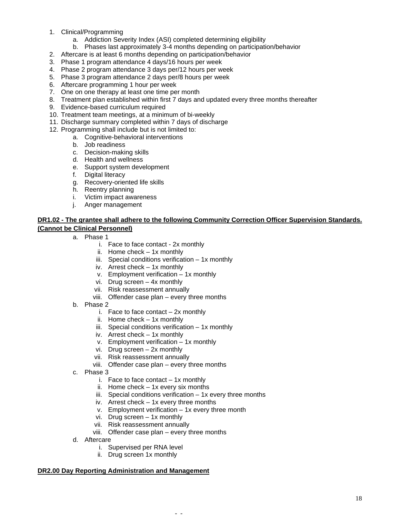- 1. Clinical/Programming
	- a. Addiction Severity Index (ASI) completed determining eligibility
	- b. Phases last approximately 3-4 months depending on participation/behavior
- 2. Aftercare is at least 6 months depending on participation/behavior
- 3. Phase 1 program attendance 4 days/16 hours per week
- 4. Phase 2 program attendance 3 days per/12 hours per week
- 5. Phase 3 program attendance 2 days per/8 hours per week
- 6. Aftercare programming 1 hour per week
- 7. One on one therapy at least one time per month
- 8. Treatment plan established within first 7 days and updated every three months thereafter
- 9. Evidence-based curriculum required
- 10. Treatment team meetings, at a minimum of bi-weekly
- 11. Discharge summary completed within 7 days of discharge
- 12. Programming shall include but is not limited to:
	- a. Cognitive-behavioral interventions
		- b. Job readiness
		- c. Decision-making skills
		- d. Health and wellness
		- e. Support system development
		- f. Digital literacy
		- g. Recovery-oriented life skills
		- h. Reentry planning
		- i. Victim impact awareness
		- j. Anger management

# **DR1.02 - The grantee shall adhere to the following Community Correction Officer Supervision Standards. (Cannot be Clinical Personnel)**

- a. Phase 1
	- i. Face to face contact 2x monthly
	- ii. Home check 1x monthly
	- iii. Special conditions verification 1x monthly
	- iv. Arrest check 1x monthly
	- v. Employment verification 1x monthly
	- vi. Drug screen 4x monthly
	- vii. Risk reassessment annually
	- viii. Offender case plan every three months
- b. Phase 2
	- i. Face to face contact  $-2x$  monthly
	- ii. Home check 1x monthly
	- iii. Special conditions verification 1x monthly
	- iv. Arrest check 1x monthly
	- v. Employment verification 1x monthly
	- vi. Drug screen 2x monthly
	- vii. Risk reassessment annually
	- viii. Offender case plan every three months
- c. Phase 3
	- i. Face to face contact  $-1x$  monthly
	- ii. Home check 1x every six months
	- iii. Special conditions verification  $-1x$  every three months

- -

- iv. Arrest check 1x every three months
- v. Employment verification 1x every three month
- vi. Drug screen 1x monthly
- vii. Risk reassessment annually
- viii. Offender case plan every three months
- d. Aftercare
	- i. Supervised per RNA level
	- ii. Drug screen 1x monthly

### **DR2.00 Day Reporting Administration and Management**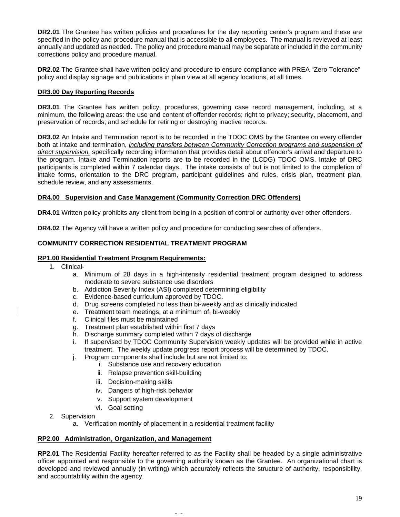**DR2.01** The Grantee has written policies and procedures for the day reporting center's program and these are specified in the policy and procedure manual that is accessible to all employees. The manual is reviewed at least annually and updated as needed. The policy and procedure manual may be separate or included in the community corrections policy and procedure manual.

**DR2.02** The Grantee shall have written policy and procedure to ensure compliance with PREA "Zero Tolerance" policy and display signage and publications in plain view at all agency locations, at all times.

### **DR3.00 Day Reporting Records**

**DR3.01** The Grantee has written policy, procedures, governing case record management, including, at a minimum, the following areas: the use and content of offender records; right to privacy; security, placement, and preservation of records; and schedule for retiring or destroying inactive records.

**DR3.02** An Intake and Termination report is to be recorded in the TDOC OMS by the Grantee on every offender both at intake and termination, *including transfers between Community Correction programs and suspension of direct supervision,* specifically recording information that provides detail about offender's arrival and departure to the program. Intake and Termination reports are to be recorded in the (LCDG) TDOC OMS. Intake of DRC participants is completed within 7 calendar days. The intake consists of but is not limited to the completion of intake forms, orientation to the DRC program, participant guidelines and rules, crisis plan, treatment plan, schedule review, and any assessments.

### **DR4.00 Supervision and Case Management (Community Correction DRC Offenders)**

**DR4.01** Written policy prohibits any client from being in a position of control or authority over other offenders.

**DR4.02** The Agency will have a written policy and procedure for conducting searches of offenders.

# **COMMUNITY CORRECTION RESIDENTIAL TREATMENT PROGRAM**

### **RP1.00 Residential Treatment Program Requirements:**

- 1. Clinical
	- a. Minimum of 28 days in a high-intensity residential treatment program designed to address moderate to severe substance use disorders
	- b. Addiction Severity Index (ASI) completed determining eligibility
	- c. Evidence-based curriculum approved by TDOC.
	- d. Drug screens completed no less than bi-weekly and as clinically indicated
	- e. Treatment team meetings, at a minimum of  $_5$  bi-weekly f. Clinical files must be maintained
	- Clinical files must be maintained
	- g. Treatment plan established within first 7 days
	- h. Discharge summary completed within 7 days of discharge
	- i. If supervised by TDOC Community Supervision weekly updates will be provided while in active treatment. The weekly update progress report process will be determined by TDOC.
	- j. Program components shall include but are not limited to:
		- i. Substance use and recovery education
		- ii. Relapse prevention skill-building
		- iii. Decision-making skills
		- iv. Dangers of high-risk behavior
		- v. Support system development
		- vi. Goal setting
- 2. Supervision
	- a. Verification monthly of placement in a residential treatment facility

- -

### **RP2.00 Administration, Organization, and Management**

**RP2.01** The Residential Facility hereafter referred to as the Facility shall be headed by a single administrative officer appointed and responsible to the governing authority known as the Grantee. An organizational chart is developed and reviewed annually (in writing) which accurately reflects the structure of authority, responsibility, and accountability within the agency.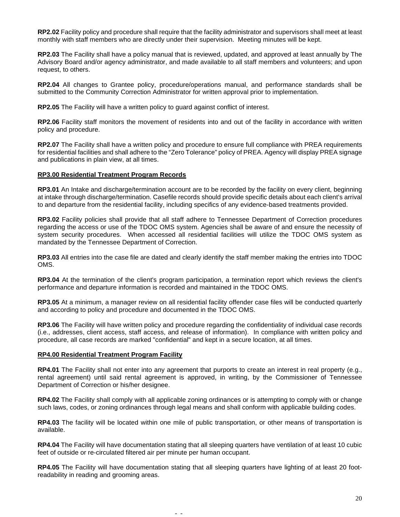**RP2.02** Facility policy and procedure shall require that the facility administrator and supervisors shall meet at least monthly with staff members who are directly under their supervision. Meeting minutes will be kept.

**RP2.03** The Facility shall have a policy manual that is reviewed, updated, and approved at least annually by The Advisory Board and/or agency administrator, and made available to all staff members and volunteers; and upon request, to others.

**RP2.04** All changes to Grantee policy, procedure/operations manual, and performance standards shall be submitted to the Community Correction Administrator for written approval prior to implementation.

**RP2.05** The Facility will have a written policy to guard against conflict of interest.

**RP2.06** Facility staff monitors the movement of residents into and out of the facility in accordance with written policy and procedure.

**RP2.07** The Facility shall have a written policy and procedure to ensure full compliance with PREA requirements for residential facilities and shall adhere to the "Zero Tolerance" policy of PREA. Agency will display PREA signage and publications in plain view, at all times.

### **RP3.00 Residential Treatment Program Records**

**RP3.01** An Intake and discharge/termination account are to be recorded by the facility on every client, beginning at intake through discharge/termination. Casefile records should provide specific details about each client's arrival to and departure from the residential facility, including specifics of any evidence-based treatments provided.

**RP3.02** Facility policies shall provide that all staff adhere to Tennessee Department of Correction procedures regarding the access or use of the TDOC OMS system. Agencies shall be aware of and ensure the necessity of system security procedures. When accessed all residential facilities will utilize the TDOC OMS system as mandated by the Tennessee Department of Correction.

**RP3.03** All entries into the case file are dated and clearly identify the staff member making the entries into TDOC OMS.

**RP3.04** At the termination of the client's program participation, a termination report which reviews the client's performance and departure information is recorded and maintained in the TDOC OMS.

**RP3.05** At a minimum, a manager review on all residential facility offender case files will be conducted quarterly and according to policy and procedure and documented in the TDOC OMS.

**RP3.06** The Facility will have written policy and procedure regarding the confidentiality of individual case records (i.e., addresses, client access, staff access, and release of information). In compliance with written policy and procedure, all case records are marked "confidential" and kept in a secure location, at all times.

#### **RP4.00 Residential Treatment Program Facility**

**RP4.01** The Facility shall not enter into any agreement that purports to create an interest in real property (e.g., rental agreement) until said rental agreement is approved, in writing, by the Commissioner of Tennessee Department of Correction or his/her designee.

**RP4.02** The Facility shall comply with all applicable zoning ordinances or is attempting to comply with or change such laws, codes, or zoning ordinances through legal means and shall conform with applicable building codes.

**RP4.03** The facility will be located within one mile of public transportation, or other means of transportation is available.

**RP4.04** The Facility will have documentation stating that all sleeping quarters have ventilation of at least 10 cubic feet of outside or re-circulated filtered air per minute per human occupant.

**RP4.05** The Facility will have documentation stating that all sleeping quarters have lighting of at least 20 footreadability in reading and grooming areas.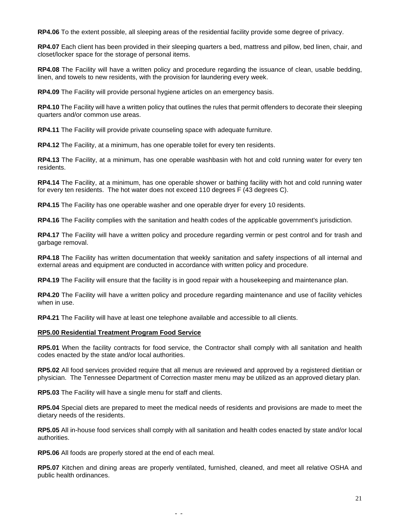**RP4.06** To the extent possible, all sleeping areas of the residential facility provide some degree of privacy.

**RP4.07** Each client has been provided in their sleeping quarters a bed, mattress and pillow, bed linen, chair, and closet/locker space for the storage of personal items.

**RP4.08** The Facility will have a written policy and procedure regarding the issuance of clean, usable bedding, linen, and towels to new residents, with the provision for laundering every week.

**RP4.09** The Facility will provide personal hygiene articles on an emergency basis.

**RP4.10** The Facility will have a written policy that outlines the rules that permit offenders to decorate their sleeping quarters and/or common use areas.

**RP4.11** The Facility will provide private counseling space with adequate furniture.

**RP4.12** The Facility, at a minimum, has one operable toilet for every ten residents.

**RP4.13** The Facility, at a minimum, has one operable washbasin with hot and cold running water for every ten residents.

**RP4.14** The Facility, at a minimum, has one operable shower or bathing facility with hot and cold running water for every ten residents. The hot water does not exceed 110 degrees F (43 degrees C).

**RP4.15** The Facility has one operable washer and one operable dryer for every 10 residents.

**RP4.16** The Facility complies with the sanitation and health codes of the applicable government's jurisdiction.

**RP4.17** The Facility will have a written policy and procedure regarding vermin or pest control and for trash and garbage removal.

**RP4.18** The Facility has written documentation that weekly sanitation and safety inspections of all internal and external areas and equipment are conducted in accordance with written policy and procedure.

**RP4.19** The Facility will ensure that the facility is in good repair with a housekeeping and maintenance plan.

**RP4.20** The Facility will have a written policy and procedure regarding maintenance and use of facility vehicles when in use.

**RP4.21** The Facility will have at least one telephone available and accessible to all clients.

# **RP5.00 Residential Treatment Program Food Service**

**RP5.01** When the facility contracts for food service, the Contractor shall comply with all sanitation and health codes enacted by the state and/or local authorities.

**RP5.02** All food services provided require that all menus are reviewed and approved by a registered dietitian or physician. The Tennessee Department of Correction master menu may be utilized as an approved dietary plan.

**RP5.03** The Facility will have a single menu for staff and clients.

**RP5.04** Special diets are prepared to meet the medical needs of residents and provisions are made to meet the dietary needs of the residents.

**RP5.05** All in-house food services shall comply with all sanitation and health codes enacted by state and/or local authorities.

**RP5.06** All foods are properly stored at the end of each meal.

**RP5.07** Kitchen and dining areas are properly ventilated, furnished, cleaned, and meet all relative OSHA and public health ordinances.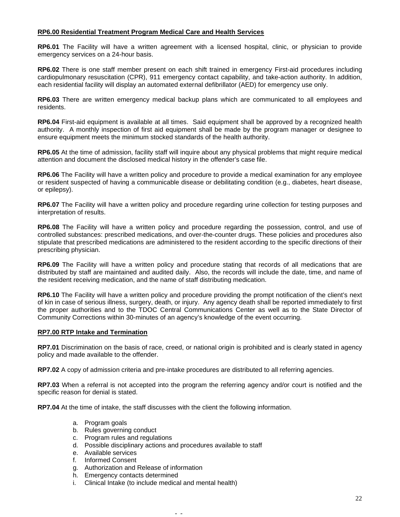## **RP6.00 Residential Treatment Program Medical Care and Health Services**

**RP6.01** The Facility will have a written agreement with a licensed hospital, clinic, or physician to provide emergency services on a 24-hour basis.

**RP6.02** There is one staff member present on each shift trained in emergency First-aid procedures including cardiopulmonary resuscitation (CPR), 911 emergency contact capability, and take-action authority. In addition, each residential facility will display an automated external defibrillator (AED) for emergency use only.

**RP6.03** There are written emergency medical backup plans which are communicated to all employees and residents.

**RP6.04** First-aid equipment is available at all times. Said equipment shall be approved by a recognized health authority. A monthly inspection of first aid equipment shall be made by the program manager or designee to ensure equipment meets the minimum stocked standards of the health authority.

**RP6.05** At the time of admission, facility staff will inquire about any physical problems that might require medical attention and document the disclosed medical history in the offender's case file.

**RP6.06** The Facility will have a written policy and procedure to provide a medical examination for any employee or resident suspected of having a communicable disease or debilitating condition (e.g., diabetes, heart disease, or epilepsy).

**RP6.07** The Facility will have a written policy and procedure regarding urine collection for testing purposes and interpretation of results.

**RP6.08** The Facility will have a written policy and procedure regarding the possession, control, and use of controlled substances: prescribed medications, and over-the-counter drugs. These policies and procedures also stipulate that prescribed medications are administered to the resident according to the specific directions of their prescribing physician.

**RP6.09** The Facility will have a written policy and procedure stating that records of all medications that are distributed by staff are maintained and audited daily. Also, the records will include the date, time, and name of the resident receiving medication, and the name of staff distributing medication.

**RP6.10** The Facility will have a written policy and procedure providing the prompt notification of the client's next of kin in case of serious illness, surgery, death, or injury. Any agency death shall be reported immediately to first the proper authorities and to the TDOC Central Communications Center as well as to the State Director of Community Corrections within 30-minutes of an agency's knowledge of the event occurring.

### **RP7.00 RTP Intake and Termination**

**RP7.01** Discrimination on the basis of race, creed, or national origin is prohibited and is clearly stated in agency policy and made available to the offender.

**RP7.02** A copy of admission criteria and pre-intake procedures are distributed to all referring agencies.

**RP7.03** When a referral is not accepted into the program the referring agency and/or court is notified and the specific reason for denial is stated.

**RP7.04** At the time of intake, the staff discusses with the client the following information.

- a. Program goals
- b. Rules governing conduct
- c. Program rules and regulations
- d. Possible disciplinary actions and procedures available to staff

- e. Available services
- f. Informed Consent
- g. Authorization and Release of information
- h. Emergency contacts determined
- i. Clinical Intake (to include medical and mental health)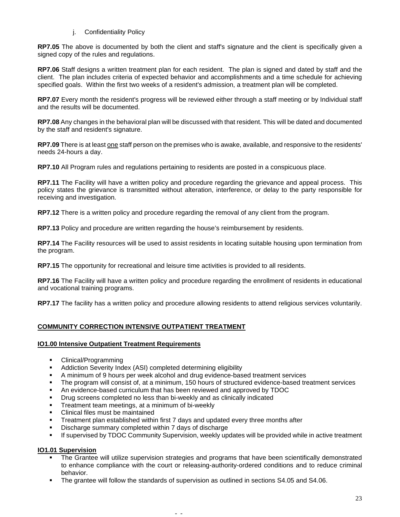## j. Confidentiality Policy

**RP7.05** The above is documented by both the client and staff's signature and the client is specifically given a signed copy of the rules and regulations.

**RP7.06** Staff designs a written treatment plan for each resident. The plan is signed and dated by staff and the client. The plan includes criteria of expected behavior and accomplishments and a time schedule for achieving specified goals. Within the first two weeks of a resident's admission, a treatment plan will be completed.

**RP7.07** Every month the resident's progress will be reviewed either through a staff meeting or by Individual staff and the results will be documented.

**RP7.08** Any changes in the behavioral plan will be discussed with that resident. This will be dated and documented by the staff and resident's signature.

**RP7.09** There is at least one staff person on the premises who is awake, available, and responsive to the residents' needs 24-hours a day.

**RP7.10** All Program rules and regulations pertaining to residents are posted in a conspicuous place.

**RP7.11** The Facility will have a written policy and procedure regarding the grievance and appeal process. This policy states the grievance is transmitted without alteration, interference, or delay to the party responsible for receiving and investigation.

**RP7.12** There is a written policy and procedure regarding the removal of any client from the program.

**RP7.13** Policy and procedure are written regarding the house's reimbursement by residents.

**RP7.14** The Facility resources will be used to assist residents in locating suitable housing upon termination from the program.

**RP7.15** The opportunity for recreational and leisure time activities is provided to all residents.

**RP7.16** The Facility will have a written policy and procedure regarding the enrollment of residents in educational and vocational training programs.

**RP7.17** The facility has a written policy and procedure allowing residents to attend religious services voluntarily.

# **COMMUNITY CORRECTION INTENSIVE OUTPATIENT TREATMENT**

### **IO1.00 Intensive Outpatient Treatment Requirements**

- Clinical/Programming
- Addiction Severity Index (ASI) completed determining eligibility
- A minimum of 9 hours per week alcohol and drug evidence-based treatment services
- The program will consist of, at a minimum, 150 hours of structured evidence-based treatment services
- An evidence-based curriculum that has been reviewed and approved by TDOC
- Drug screens completed no less than bi-weekly and as clinically indicated<br>■ Treatment team meetings at a minimum of bi-weekly
- Treatment team meetings, at a minimum of bi-weekly
- Clinical files must be maintained
- Treatment plan established within first 7 days and updated every three months after
- Discharge summary completed within 7 days of discharge
- **If supervised by TDOC Community Supervision, weekly updates will be provided while in active treatment**

# **IO1.01 Supervision**

- The Grantee will utilize supervision strategies and programs that have been scientifically demonstrated to enhance compliance with the court or releasing-authority-ordered conditions and to reduce criminal behavior.
- **The grantee will follow the standards of supervision as outlined in sections S4.05 and S4.06.**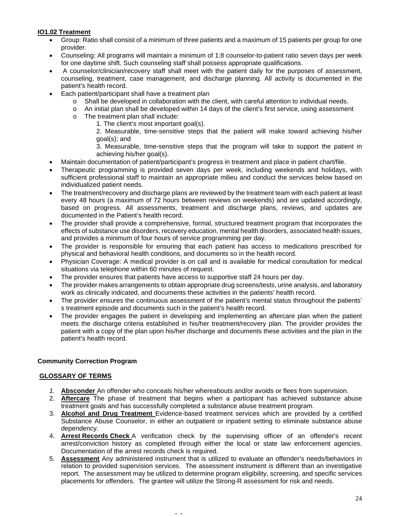# **IO1.02 Treatment**

- Group: Ratio shall consist of a minimum of three patients and a maximum of 15 patients per group for one provider.
- Counseling: All programs will maintain a minimum of 1:8 counselor-to-patient ratio seven days per week for one daytime shift. Such counseling staff shall possess appropriate qualifications.
- A counselor/clinician/recovery staff shall meet with the patient daily for the purposes of assessment, counseling, treatment, case management, and discharge planning. All activity is documented in the patient's health record.
- Each patient/participant shall have a treatment plan
	- $\circ$  Shall be developed in collaboration with the client, with careful attention to individual needs.<br>  $\circ$  An initial plan shall be developed within 14 days of the client's first service, using assessmere
	- An initial plan shall be developed within 14 days of the client's first service, using assessment
	- o The treatment plan shall include:
		- 1. The client's most important goal(s).

2. Measurable, time-sensitive steps that the patient will make toward achieving his/her goal(s); and

3. Measurable, time-sensitive steps that the program will take to support the patient in achieving his/her goal(s).

- Maintain documentation of patient/participant's progress in treatment and place in patient chart/file.
- Therapeutic programming is provided seven days per week, including weekends and holidays, with sufficient professional staff to maintain an appropriate milieu and conduct the services below based on individualized patient needs.
- The treatment/recovery and discharge plans are reviewed by the treatment team with each patient at least every 48 hours (a maximum of 72 hours between reviews on weekends) and are updated accordingly, based on progress. All assessments, treatment and discharge plans, reviews, and updates are documented in the Patient's health record.
- The provider shall provide a comprehensive, formal, structured treatment program that incorporates the effects of substance use disorders, recovery education, mental health disorders, associated health issues, and provides a minimum of four hours of service programming per day.
- The provider is responsible for ensuring that each patient has access to medications prescribed for physical and behavioral health conditions, and documents so in the health record.
- Physician Coverage: A medical provider is on call and is available for medical consultation for medical situations via telephone within 60 minutes of request.
- The provider ensures that patients have access to supportive staff 24 hours per day.
- The provider makes arrangements to obtain appropriate drug screens/tests, urine analysis, and laboratory work as clinically indicated, and documents these activities in the patients' health record.
- The provider ensures the continuous assessment of the patient's mental status throughout the patients' s treatment episode and documents such in the patient's health record.
- The provider engages the patient in developing and implementing an aftercare plan when the patient meets the discharge criteria established in his/her treatment/recovery plan. The provider provides the patient with a copy of the plan upon his/her discharge and documents these activities and the plan in the patient's health record.

# **Community Correction Program**

# **GLOSSARY OF TERMS**

- *1.* **Absconder** An offender who conceals his/her whereabouts and/or avoids or flees from supervision.
- 2. **Aftercare** The phase of treatment that begins when a participant has achieved substance abuse treatment goals and has successfully completed a substance abuse treatment program.
- 3. **Alcohol and Drug Treatment** Evidence-based treatment services which are provided by a certified Substance Abuse Counselor, in either an outpatient or inpatient setting to eliminate substance abuse dependency.
- 4. **Arrest Records Check** A verification check by the supervising officer of an offender's recent arrest/conviction history as completed through either the local or state law enforcement agencies. Documentation of the arrest records check is required.
- 5. **Assessment** Any administered instrument that is utilized to evaluate an offender's needs/behaviors in relation to provided supervision services. The assessment instrument is different than an investigative report. The assessment may be utilized to determine program eligibility, screening, and specific services placements for offenders. The grantee will utilize the Strong-R assessment for risk and needs.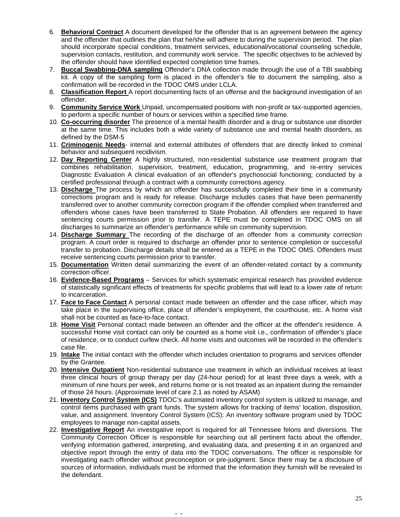- 6. **Behavioral Contract** A document developed for the offender that is an agreement between the agency and the offender that outlines the plan that he/she will adhere to during the supervision period. The plan should incorporate special conditions, treatment services, educational/vocational counseling schedule, supervision contacts, restitution, and community work service. The specific objectives to be achieved by the offender should have identified expected completion time frames.
- 7. **Buccal Swabbing-DNA sampling** Offender's DNA collection made through the use of a TBI swabbing kit. A copy of the sampling form is placed in the offender's file to document the sampling, also a confirmation will be recorded in the TDOC OMS under LCLA.
- 8. **Classification Report** A report documenting facts of an offense and the background investigation of an offender.
- 9. **Community Service Work** Unpaid, uncompensated positions with non-profit or tax-supported agencies, to perform a specific number of hours or services within a specified time frame.
- 10. **Co-occurring disorder** The presence of a mental health disorder and a drug or substance use disorder at the same time. This includes both a wide variety of substance use and mental health disorders, as defined by the DSM-5
- 11. **Criminogenic Needs** internal and external attributes of offenders that are directly linked to criminal behavior and subsequent recidivism.
- 12. **Day Reporting Center** A highly structured, non-residential substance use treatment program that combines rehabilitation, supervision, treatment, education, programming, and re-entry services Diagnostic Evaluation A clinical evaluation of an offender's psychosocial functioning; conducted by a certified professional through a contract with a community corrections agency.
- 13. **Discharge** The process by which an offender has successfully completed their time in a community corrections program and is ready for release. Discharge includes cases that have been permanently transferred over to another community correction program if the offender complied when transferred and offenders whose cases have been transferred to State Probation. All offenders are required to have sentencing courts permission prior to transfer. A TEPE must be completed in TDOC OMS on all discharges to summarize an offender's performance while on community supervision.
- 14. **Discharge Summary** The recording of the discharge of an offender from a community correction program. A court order is required to discharge an offender prior to sentence completion or successful transfer to probation. Discharge details shall be entered as a TEPE in the TDOC OMS. Offenders must receive sentencing courts permission prior to transfer.
- 15. **Documentation** Written detail summarizing the event of an offender-related contact by a community correction officer.
- 16. **Evidence-Based Programs** Services for which systematic empirical research has provided evidence of statistically significant effects of treatments for specific problems that will lead to a lower rate of return to incarceration.
- 17. **Face to Face Contact** A personal contact made between an offender and the case officer, which may take place in the supervising office, place of offender's employment, the courthouse, etc. A home visit shall not be counted as face-to-face contact.
- 18. **Home Visit** Personal contact made between an offender and the officer at the offender's residence. A successful Home visit contact can only be counted as a home visit i.e., confirmation of offender's place of residence, or to conduct curfew check. All home visits and outcomes will be recorded in the offender's case file.
- 19. **Intake** The initial contact with the offender which includes orientation to programs and services offender by the Grantee.
- 20. **Intensive Outpatient** Non-residential substance use [treatment](https://www.lawinsider.com/clause/treatment) in which an [individual](https://www.lawinsider.com/clause/individual) [receives](https://www.lawinsider.com/dictionary/receives) at least three clinical [hours of](https://www.lawinsider.com/clause/hours-of) group therapy [per day](https://www.lawinsider.com/clause/per-day) (24-hour [period\)](https://www.lawinsider.com/clause/period) for at least [three days](https://www.lawinsider.com/dictionary/three-days) [a week,](https://www.lawinsider.com/dictionary/a-week) with a minimum of nine hours per week, and [returns](https://www.lawinsider.com/clause/returns) [home](https://www.lawinsider.com/clause/home) or is not [treated](https://www.lawinsider.com/dictionary/treated) as an [inpatient](https://www.lawinsider.com/clause/inpatient) during the [remainder](https://www.lawinsider.com/clause/remainder) of those 24 hours. (Approximate level of care 2.1 as noted by ASAM)
- 21. **Inventory Control System (ICS)** TDOC's automated inventory control system is utilized to manage, and control items purchased with grant funds. The system allows for tracking of items' location, disposition, value, and assignment. Inventory Control System (ICS): An inventory software program used by TDOC employees to manage non-capital assets.
- 22. **Investigative Report** An investigative report is required for all Tennessee felons and diversions. The Community Correction Officer is responsible for searching out all pertinent facts about the offender, verifying information gathered, interpreting, and evaluating data, and presenting it in an organized and objective report through the entry of data into the TDOC conversations. The officer is responsible for investigating each offender without preconception or pre-judgment. Since there may be a disclosure of sources of information, individuals must be informed that the information they furnish will be revealed to the defendant.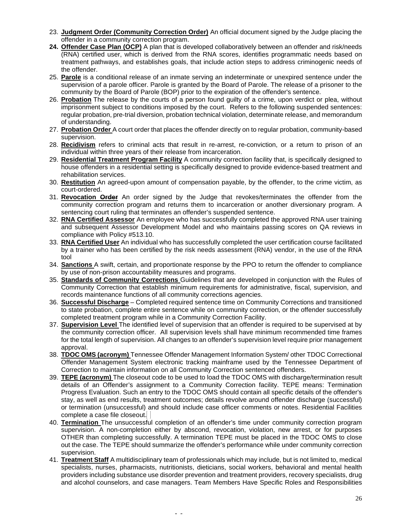- 23. **Judgment Order (Community Correction Order)** An official document signed by the Judge placing the offender in a community correction program.
- **24. Offender Case Plan (OCP)** A plan that is developed collaboratively between an offender and risk/needs (RNA) certified user, which is derived from the RNA scores, identifies programmatic needs based on treatment pathways, and establishes goals, that include action steps to address criminogenic needs of the offender.
- 25. **Parole** is a conditional release of an inmate serving an indeterminate or unexpired sentence under the supervision of a parole officer. Parole is granted by the Board of Parole. The release of a prisoner to the community by the Board of Parole (BOP) prior to the expiration of the offender's sentence.
- 26. **Probation** The release by the courts of a person found guilty of a crime, upon verdict or plea, without imprisonment subject to conditions imposed by the court. Refers to the following suspended sentences: regular probation, pre-trial diversion, probation technical violation, determinate release, and memorandum of understanding.
- 27. **Probation Order** A court order that places the offender directly on to regular probation, community-based supervision.
- 28. **Recidivism** refers to criminal acts that result in re-arrest, re-conviction, or a return to prison of an individual within three years of their release from incarceration.
- 29. **Residential Treatment Program Facility** A community correction facility that, is specifically designed to house offenders in a residential setting is specifically designed to provide evidence-based treatment and rehabilitation services.
- 30. **Restitution** An agreed-upon amount of compensation payable, by the offender, to the crime victim, as court-ordered.
- 31. **Revocation Order** An order signed by the Judge that revokes/terminates the offender from the community correction program and returns them to incarceration or another diversionary program. A sentencing court ruling that terminates an offender's suspended sentence.
- 32. **RNA Certified Assessor** An employee who has successfully completed the approved RNA user training and subsequent Assessor Development Model and who maintains passing scores on QA reviews in compliance with Policy #513.10.
- 33. **RNA Certified User** An individual who has successfully completed the user certification course facilitated by a trainer who has been certified by the risk needs assessment (RNA) vendor, in the use of the RNA tool
- 34. **Sanctions** A swift, certain, and proportionate response by the PPO to return the offender to compliance by use of non-prison accountability measures and programs.
- 35. **Standards of Community Corrections** Guidelines that are developed in conjunction with the Rules of Community Correction that establish minimum requirements for administrative, fiscal, supervision, and records maintenance functions of all community corrections agencies.
- 36. **Successful Discharge** Completed required sentence time on Community Corrections and transitioned to state probation, complete entire sentence while on community correction, or the offender successfully completed treatment program while in a Community Correction Facility.
- 37. **Supervision Level** The identified level of supervision that an offender is required to be supervised at by the community correction officer. All supervision levels shall have minimum recommended time frames for the total length of supervision. All changes to an offender's supervision level require prior management approval.
- 38. **TDOC OMS (acronym)** Tennessee Offender Management Information System/ other TDOC Correctional Offender Management System electronic tracking mainframe used by the Tennessee Department of Correction to maintain information on all Community Correction sentenced offenders.
- 39. **TEPE (acronym)** The closeout code to be used to load the TDOC OMS with discharge/termination result details of an Offender's assignment to a Community Correction facility. TEPE means: Termination Progress Evaluation. Such an entry to the TDOC OMS should contain all specific details of the offender's stay, as well as end results, treatment outcomes; details revolve around offender discharge (successful) or termination (unsuccessful) and should include case officer comments or notes. Residential Facilities complete a case file closeout.
- 40. **Termination** The unsuccessful completion of an offender's time under community correction program supervision. A non-completion either by abscond, revocation, violation, new arrest, or for purposes OTHER than completing successfully. A termination TEPE must be placed in the TDOC OMS to close out the case. The TEPE should summarize the offender's performance while under community correction supervision.
- 41. **Treatment Staff** A multidisciplinary team of professionals which may include, but is not limited to, medical specialists, nurses, pharmacists, nutritionists, dieticians, social workers, behavioral and mental health providers including substance use disorder prevention and treatment providers, recovery specialists, drug and alcohol counselors, and case managers. Team Members Have Specific Roles and Responsibilities